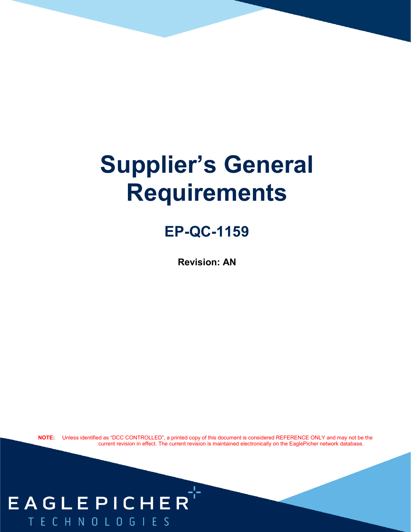# **Supplier's General Requirements**

## **EP-QC-1159**

**Revision: AN**

**NOTE:** Unless identified as "DCC CONTROLLED", a printed copy of this document is considered REFERENCE ONLY and may not be the current revision in effect. The current revision is maintained electronically on the EaglePicher network database.

## EAGLEPICHER TECHNOLOGIES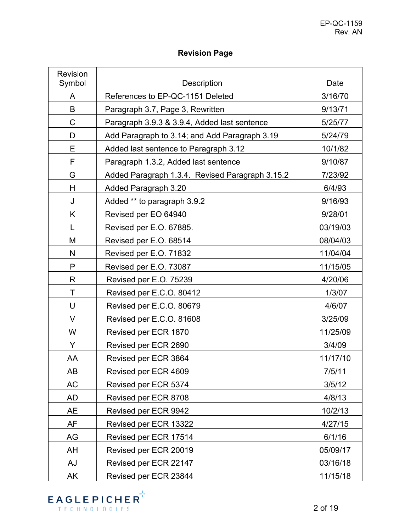#### **Revision Page**

| Revision<br>Symbol | <b>Description</b>                              | Date               |  |  |
|--------------------|-------------------------------------------------|--------------------|--|--|
| A                  | References to EP-QC-1151 Deleted                |                    |  |  |
| B                  | Paragraph 3.7, Page 3, Rewritten                | 3/16/70<br>9/13/71 |  |  |
| C                  | Paragraph 3.9.3 & 3.9.4, Added last sentence    | 5/25/77            |  |  |
| D                  | Add Paragraph to 3.14; and Add Paragraph 3.19   | 5/24/79            |  |  |
| Е                  | Added last sentence to Paragraph 3.12           |                    |  |  |
| F                  | Paragraph 1.3.2, Added last sentence            |                    |  |  |
| G                  | Added Paragraph 1.3.4. Revised Paragraph 3.15.2 |                    |  |  |
| H                  | Added Paragraph 3.20                            |                    |  |  |
| J                  | Added ** to paragraph 3.9.2                     | 9/16/93            |  |  |
| K                  | Revised per EO 64940                            | 9/28/01            |  |  |
| L                  | Revised per E.O. 67885.                         | 03/19/03           |  |  |
| M                  | Revised per E.O. 68514                          | 08/04/03           |  |  |
| N                  | Revised per E.O. 71832                          | 11/04/04           |  |  |
| P                  | Revised per E.O. 73087                          | 11/15/05           |  |  |
| R                  | Revised per E.O. 75239                          | 4/20/06            |  |  |
| Τ                  | Revised per E.C.O. 80412                        | 1/3/07             |  |  |
| U                  | Revised per E.C.O. 80679                        | 4/6/07             |  |  |
| V                  | Revised per E.C.O. 81608                        | 3/25/09            |  |  |
| W                  | Revised per ECR 1870                            | 11/25/09           |  |  |
| Y                  | Revised per ECR 2690                            | 3/4/09             |  |  |
| AA                 | Revised per ECR 3864                            | 11/17/10           |  |  |
| AB                 | Revised per ECR 4609                            | 7/5/11             |  |  |
| <b>AC</b>          | Revised per ECR 5374                            | 3/5/12             |  |  |
| AD                 | Revised per ECR 8708                            | 4/8/13             |  |  |
| AE                 | Revised per ECR 9942                            | 10/2/13            |  |  |
| AF                 | Revised per ECR 13322                           | 4/27/15            |  |  |
| AG                 | Revised per ECR 17514                           | 6/1/16             |  |  |
| AH                 | Revised per ECR 20019                           | 05/09/17           |  |  |
| AJ                 | Revised per ECR 22147                           | 03/16/18           |  |  |
| AK                 | Revised per ECR 23844                           | 11/15/18           |  |  |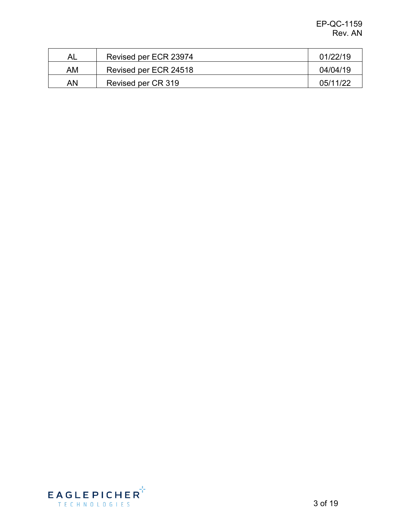| AL. | Revised per ECR 23974 | 01/22/19 |
|-----|-----------------------|----------|
| AM  | Revised per ECR 24518 | 04/04/19 |
| AN  | Revised per CR 319    | 05/11/22 |

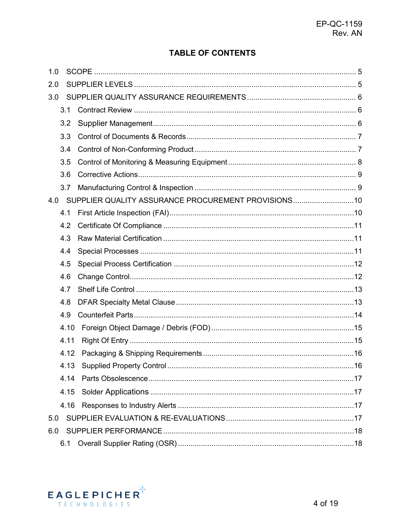#### **TABLE OF CONTENTS**

| 1.0 |      |                                                     |  |
|-----|------|-----------------------------------------------------|--|
| 2.0 |      |                                                     |  |
| 3.0 |      |                                                     |  |
|     | 3.1  |                                                     |  |
|     | 3.2  |                                                     |  |
|     | 3.3  |                                                     |  |
|     | 3.4  |                                                     |  |
|     | 3.5  |                                                     |  |
|     | 3.6  |                                                     |  |
|     | 3.7  |                                                     |  |
| 4.0 |      | SUPPLIER QUALITY ASSURANCE PROCUREMENT PROVISIONS10 |  |
|     | 4.1  |                                                     |  |
|     | 4.2  |                                                     |  |
|     | 4.3  |                                                     |  |
|     | 4.4  |                                                     |  |
|     | 4.5  |                                                     |  |
|     | 4.6  |                                                     |  |
|     | 4.7  |                                                     |  |
|     | 4.8  |                                                     |  |
|     | 4.9  |                                                     |  |
|     | 4.10 |                                                     |  |
|     | 4.11 |                                                     |  |
|     | 4.12 |                                                     |  |
|     |      |                                                     |  |
|     | 4 14 |                                                     |  |
|     | 4.15 |                                                     |  |
|     | 4.16 |                                                     |  |
| 5.0 |      |                                                     |  |
| 6.0 |      |                                                     |  |
|     | 6.1  |                                                     |  |

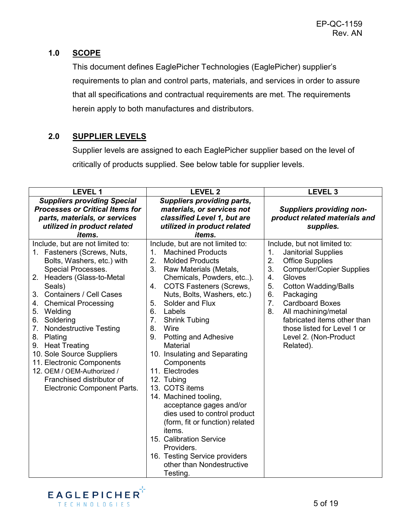#### <span id="page-4-0"></span>**1.0 SCOPE**

This document defines EaglePicher Technologies (EaglePicher) supplier's requirements to plan and control parts, materials, and services in order to assure that all specifications and contractual requirements are met. The requirements herein apply to both manufactures and distributors.

#### <span id="page-4-1"></span>**2.0 SUPPLIER LEVELS**

Supplier levels are assigned to each EaglePicher supplier based on the level of critically of products supplied. See below table for supplier levels.

| <b>LEVEL 1</b>                                                                                                                                                                                                                                                                                                                                                                                                                                                                                              | <b>LEVEL 2</b>                                                                                                                                                                                                                                                                                                                                                                                                                                                                                                                                                                                                                                                                                                             | <b>LEVEL 3</b>                                                                                                                                                                                                                                                                                                                                                                                   |  |
|-------------------------------------------------------------------------------------------------------------------------------------------------------------------------------------------------------------------------------------------------------------------------------------------------------------------------------------------------------------------------------------------------------------------------------------------------------------------------------------------------------------|----------------------------------------------------------------------------------------------------------------------------------------------------------------------------------------------------------------------------------------------------------------------------------------------------------------------------------------------------------------------------------------------------------------------------------------------------------------------------------------------------------------------------------------------------------------------------------------------------------------------------------------------------------------------------------------------------------------------------|--------------------------------------------------------------------------------------------------------------------------------------------------------------------------------------------------------------------------------------------------------------------------------------------------------------------------------------------------------------------------------------------------|--|
| <b>Suppliers providing Special</b><br><b>Processes or Critical Items for</b><br>parts, materials, or services<br>utilized in product related<br><i>items.</i>                                                                                                                                                                                                                                                                                                                                               | <b>Suppliers providing parts,</b><br>materials, or services not<br>classified Level 1, but are<br>utilized in product related<br><i>items.</i>                                                                                                                                                                                                                                                                                                                                                                                                                                                                                                                                                                             | <b>Suppliers providing non-</b><br>product related materials and<br>supplies.                                                                                                                                                                                                                                                                                                                    |  |
| Include, but are not limited to:<br>1. Fasteners (Screws, Nuts,<br>Bolts, Washers, etc.) with<br>Special Processes.<br>2. Headers (Glass-to-Metal<br>Seals)<br><b>Containers / Cell Cases</b><br>3.<br>4. Chemical Processing<br>5.<br>Welding<br>Soldering<br>6.<br><b>Nondestructive Testing</b><br>7.<br>8.<br>Plating<br><b>Heat Treating</b><br>9.<br>10. Sole Source Suppliers<br>11. Electronic Components<br>12. OEM / OEM-Authorized /<br>Franchised distributor of<br>Electronic Component Parts. | Include, but are not limited to:<br><b>Machined Products</b><br>1.<br>2.<br><b>Molded Products</b><br>3.<br>Raw Materials (Metals,<br>Chemicals, Powders, etc).<br><b>COTS Fasteners (Screws,</b><br>4.<br>Nuts, Bolts, Washers, etc.)<br>Solder and Flux<br>5.<br>6.<br>Labels<br>7.<br><b>Shrink Tubing</b><br>8.<br>Wire<br>Potting and Adhesive<br>9.<br>Material<br>10. Insulating and Separating<br>Components<br>11. Electrodes<br>12. Tubing<br>13. COTS items<br>14. Machined tooling,<br>acceptance gages and/or<br>dies used to control product<br>(form, fit or function) related<br>items.<br>15. Calibration Service<br>Providers.<br>16. Testing Service providers<br>other than Nondestructive<br>Testing. | Include, but not limited to:<br>1.<br><b>Janitorial Supplies</b><br>2.<br><b>Office Supplies</b><br>3.<br><b>Computer/Copier Supplies</b><br>4.<br>Gloves<br>5.<br><b>Cotton Wadding/Balls</b><br>6.<br>Packaging<br>$\overline{7}$ .<br><b>Cardboard Boxes</b><br>8.<br>All machining/metal<br>fabricated items other than<br>those listed for Level 1 or<br>Level 2. (Non-Product<br>Related). |  |

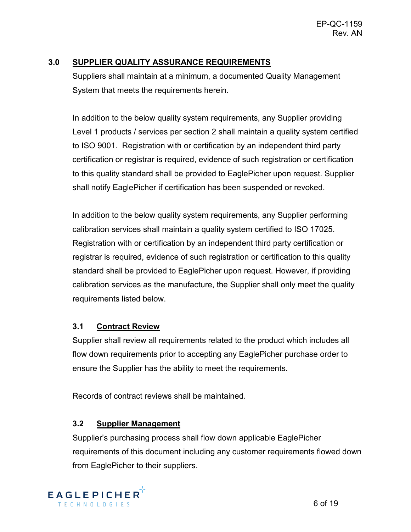#### <span id="page-5-0"></span>**3.0 SUPPLIER QUALITY ASSURANCE REQUIREMENTS**

Suppliers shall maintain at a minimum, a documented Quality Management System that meets the requirements herein.

In addition to the below quality system requirements, any Supplier providing Level 1 products / services per section 2 shall maintain a quality system certified to ISO 9001. Registration with or certification by an independent third party certification or registrar is required, evidence of such registration or certification to this quality standard shall be provided to EaglePicher upon request. Supplier shall notify EaglePicher if certification has been suspended or revoked.

In addition to the below quality system requirements, any Supplier performing calibration services shall maintain a quality system certified to ISO 17025. Registration with or certification by an independent third party certification or registrar is required, evidence of such registration or certification to this quality standard shall be provided to EaglePicher upon request. However, if providing calibration services as the manufacture, the Supplier shall only meet the quality requirements listed below.

#### <span id="page-5-1"></span>**3.1 Contract Review**

Supplier shall review all requirements related to the product which includes all flow down requirements prior to accepting any EaglePicher purchase order to ensure the Supplier has the ability to meet the requirements.

Records of contract reviews shall be maintained.

#### <span id="page-5-2"></span>**3.2 Supplier Management**

Supplier's purchasing process shall flow down applicable EaglePicher requirements of this document including any customer requirements flowed down from EaglePicher to their suppliers.

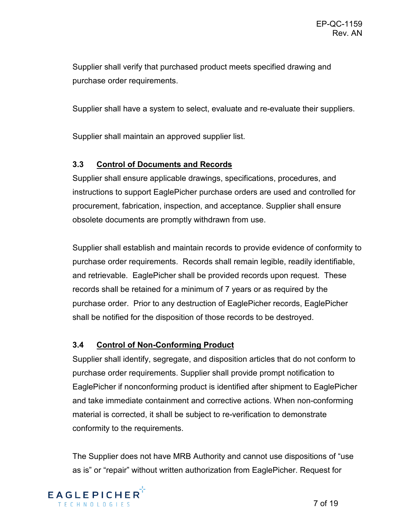Supplier shall verify that purchased product meets specified drawing and purchase order requirements.

Supplier shall have a system to select, evaluate and re-evaluate their suppliers.

Supplier shall maintain an approved supplier list.

#### <span id="page-6-0"></span>**3.3 Control of Documents and Records**

Supplier shall ensure applicable drawings, specifications, procedures, and instructions to support EaglePicher purchase orders are used and controlled for procurement, fabrication, inspection, and acceptance. Supplier shall ensure obsolete documents are promptly withdrawn from use.

Supplier shall establish and maintain records to provide evidence of conformity to purchase order requirements. Records shall remain legible, readily identifiable, and retrievable. EaglePicher shall be provided records upon request. These records shall be retained for a minimum of 7 years or as required by the purchase order. Prior to any destruction of EaglePicher records, EaglePicher shall be notified for the disposition of those records to be destroyed.

#### <span id="page-6-1"></span>**3.4 Control of Non-Conforming Product**

Supplier shall identify, segregate, and disposition articles that do not conform to purchase order requirements. Supplier shall provide prompt notification to EaglePicher if nonconforming product is identified after shipment to EaglePicher and take immediate containment and corrective actions. When non-conforming material is corrected, it shall be subject to re-verification to demonstrate conformity to the requirements.

The Supplier does not have MRB Authority and cannot use dispositions of "use as is" or "repair" without written authorization from EaglePicher. Request for

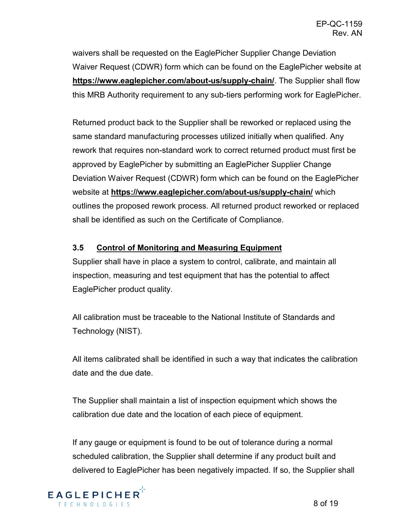waivers shall be requested on the EaglePicher Supplier Change Deviation Waiver Request (CDWR) form which can be found on the EaglePicher website at **https://www.eaglepicher.com/about-us/supply-chain/**. The Supplier shall flow this MRB Authority requirement to any sub-tiers performing work for EaglePicher.

Returned product back to the Supplier shall be reworked or replaced using the same standard manufacturing processes utilized initially when qualified. Any rework that requires non-standard work to correct returned product must first be approved by EaglePicher by submitting an EaglePicher Supplier Change Deviation Waiver Request (CDWR) form which can be found on the EaglePicher website at **https://www.eaglepicher.com/about-us/supply-chain/** which outlines the proposed rework process. All returned product reworked or replaced shall be identified as such on the Certificate of Compliance.

#### <span id="page-7-0"></span>**3.5 Control of Monitoring and Measuring Equipment**

Supplier shall have in place a system to control, calibrate, and maintain all inspection, measuring and test equipment that has the potential to affect EaglePicher product quality.

All calibration must be traceable to the National Institute of Standards and Technology (NIST).

All items calibrated shall be identified in such a way that indicates the calibration date and the due date.

The Supplier shall maintain a list of inspection equipment which shows the calibration due date and the location of each piece of equipment.

If any gauge or equipment is found to be out of tolerance during a normal scheduled calibration, the Supplier shall determine if any product built and delivered to EaglePicher has been negatively impacted. If so, the Supplier shall

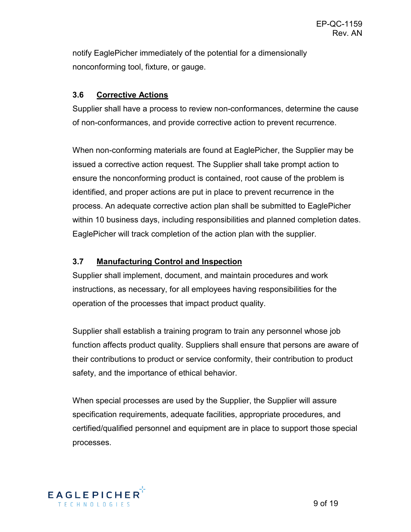notify EaglePicher immediately of the potential for a dimensionally nonconforming tool, fixture, or gauge.

#### <span id="page-8-0"></span>**3.6 Corrective Actions**

Supplier shall have a process to review non-conformances, determine the cause of non-conformances, and provide corrective action to prevent recurrence.

When non-conforming materials are found at EaglePicher, the Supplier may be issued a corrective action request. The Supplier shall take prompt action to ensure the nonconforming product is contained, root cause of the problem is identified, and proper actions are put in place to prevent recurrence in the process. An adequate corrective action plan shall be submitted to EaglePicher within 10 business days, including responsibilities and planned completion dates. EaglePicher will track completion of the action plan with the supplier.

#### <span id="page-8-1"></span>**3.7 Manufacturing Control and Inspection**

Supplier shall implement, document, and maintain procedures and work instructions, as necessary, for all employees having responsibilities for the operation of the processes that impact product quality.

Supplier shall establish a training program to train any personnel whose job function affects product quality. Suppliers shall ensure that persons are aware of their contributions to product or service conformity, their contribution to product safety, and the importance of ethical behavior.

When special processes are used by the Supplier, the Supplier will assure specification requirements, adequate facilities, appropriate procedures, and certified/qualified personnel and equipment are in place to support those special processes.

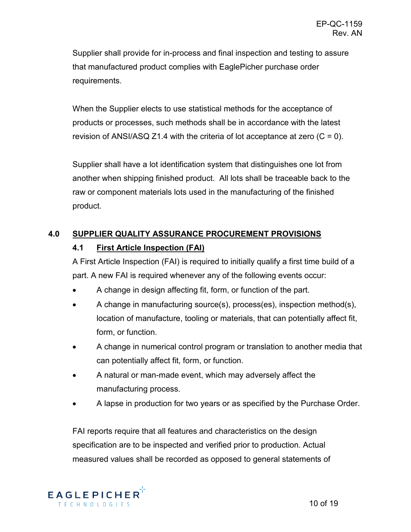Supplier shall provide for in-process and final inspection and testing to assure that manufactured product complies with EaglePicher purchase order requirements.

When the Supplier elects to use statistical methods for the acceptance of products or processes, such methods shall be in accordance with the latest revision of ANSI/ASQ Z1.4 with the criteria of lot acceptance at zero  $(C = 0)$ .

Supplier shall have a lot identification system that distinguishes one lot from another when shipping finished product. All lots shall be traceable back to the raw or component materials lots used in the manufacturing of the finished product.

### <span id="page-9-1"></span><span id="page-9-0"></span>**4.0 SUPPLIER QUALITY ASSURANCE PROCUREMENT PROVISIONS**

#### **4.1 First Article Inspection (FAI)**

A First Article Inspection (FAI) is required to initially qualify a first time build of a part. A new FAI is required whenever any of the following events occur:

- A change in design affecting fit, form, or function of the part.
- A change in manufacturing source(s), process(es), inspection method(s), location of manufacture, tooling or materials, that can potentially affect fit, form, or function.
- A change in numerical control program or translation to another media that can potentially affect fit, form, or function.
- A natural or man-made event, which may adversely affect the manufacturing process.
- A lapse in production for two years or as specified by the Purchase Order.

FAI reports require that all features and characteristics on the design specification are to be inspected and verified prior to production. Actual measured values shall be recorded as opposed to general statements of

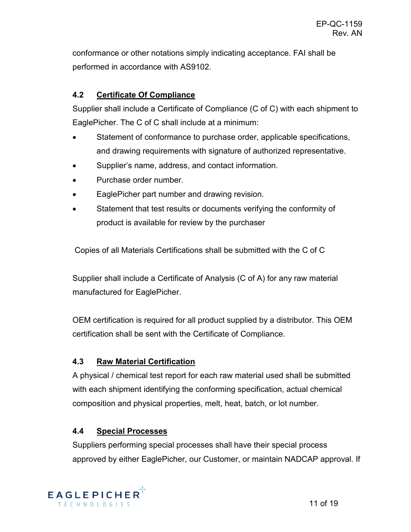conformance or other notations simply indicating acceptance. FAI shall be performed in accordance with AS9102.

#### <span id="page-10-0"></span>**4.2 Certificate Of Compliance**

Supplier shall include a Certificate of Compliance (C of C) with each shipment to EaglePicher. The C of C shall include at a minimum:

- Statement of conformance to purchase order, applicable specifications, and drawing requirements with signature of authorized representative.
- Supplier's name, address, and contact information.
- Purchase order number.
- EaglePicher part number and drawing revision.
- Statement that test results or documents verifying the conformity of product is available for review by the purchaser

Copies of all Materials Certifications shall be submitted with the C of C

Supplier shall include a Certificate of Analysis (C of A) for any raw material manufactured for EaglePicher.

OEM certification is required for all product supplied by a distributor. This OEM certification shall be sent with the Certificate of Compliance.

#### <span id="page-10-1"></span>**4.3 Raw Material Certification**

A physical / chemical test report for each raw material used shall be submitted with each shipment identifying the conforming specification, actual chemical composition and physical properties, melt, heat, batch, or lot number.

#### <span id="page-10-2"></span>**4.4 Special Processes**

Suppliers performing special processes shall have their special process approved by either EaglePicher, our Customer, or maintain NADCAP approval. If

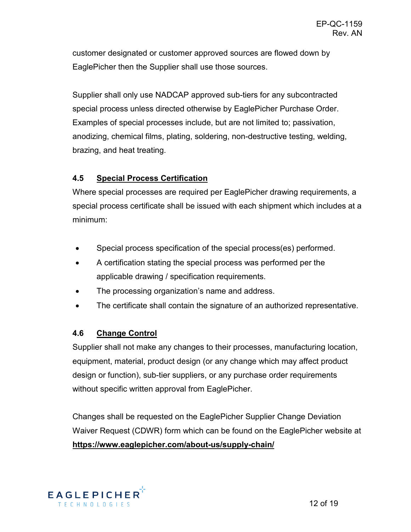customer designated or customer approved sources are flowed down by EaglePicher then the Supplier shall use those sources.

Supplier shall only use NADCAP approved sub-tiers for any subcontracted special process unless directed otherwise by EaglePicher Purchase Order. Examples of special processes include, but are not limited to; passivation, anodizing, chemical films, plating, soldering, non-destructive testing, welding, brazing, and heat treating.

#### <span id="page-11-0"></span>**4.5 Special Process Certification**

Where special processes are required per EaglePicher drawing requirements, a special process certificate shall be issued with each shipment which includes at a minimum:

- Special process specification of the special process(es) performed.
- A certification stating the special process was performed per the applicable drawing / specification requirements.
- The processing organization's name and address.
- The certificate shall contain the signature of an authorized representative.

#### <span id="page-11-1"></span>**4.6 Change Control**

Supplier shall not make any changes to their processes, manufacturing location, equipment, material, product design (or any change which may affect product design or function), sub-tier suppliers, or any purchase order requirements without specific written approval from EaglePicher.

Changes shall be requested on the EaglePicher Supplier Change Deviation Waiver Request (CDWR) form which can be found on the EaglePicher website at **https://www.eaglepicher.com/about-us/supply-chain/** 

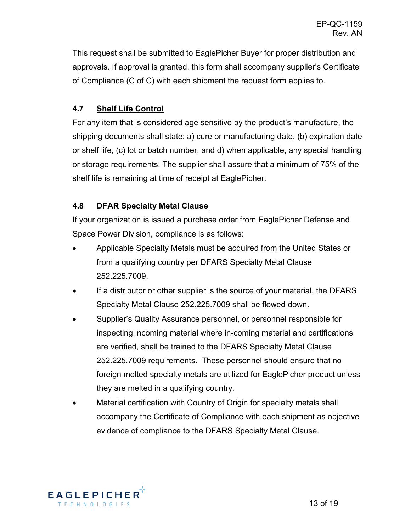This request shall be submitted to EaglePicher Buyer for proper distribution and approvals. If approval is granted, this form shall accompany supplier's Certificate of Compliance (C of C) with each shipment the request form applies to.

#### <span id="page-12-0"></span>**4.7 Shelf Life Control**

For any item that is considered age sensitive by the product's manufacture, the shipping documents shall state: a) cure or manufacturing date, (b) expiration date or shelf life, (c) lot or batch number, and d) when applicable, any special handling or storage requirements. The supplier shall assure that a minimum of 75% of the shelf life is remaining at time of receipt at EaglePicher.

#### <span id="page-12-1"></span>**4.8 DFAR Specialty Metal Clause**

If your organization is issued a purchase order from EaglePicher Defense and Space Power Division, compliance is as follows:

- Applicable Specialty Metals must be acquired from the United States or from a qualifying country per DFARS Specialty Metal Clause 252.225.7009.
- If a distributor or other supplier is the source of your material, the DFARS Specialty Metal Clause 252.225.7009 shall be flowed down.
- Supplier's Quality Assurance personnel, or personnel responsible for inspecting incoming material where in-coming material and certifications are verified, shall be trained to the DFARS Specialty Metal Clause 252.225.7009 requirements. These personnel should ensure that no foreign melted specialty metals are utilized for EaglePicher product unless they are melted in a qualifying country.
- Material certification with Country of Origin for specialty metals shall accompany the Certificate of Compliance with each shipment as objective evidence of compliance to the DFARS Specialty Metal Clause.

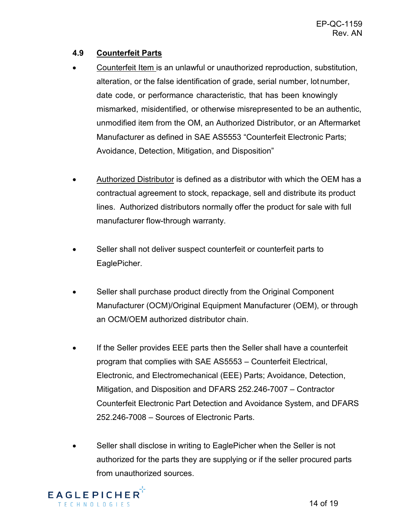#### <span id="page-13-0"></span>**4.9 Counterfeit Parts**

- Counterfeit Item is an unlawful or unauthorized reproduction, substitution, alteration, or the false identification of grade, serial number, lotnumber, date code, or performance characteristic, that has been knowingly mismarked, misidentified, or otherwise misrepresented to be an authentic, unmodified item from the OM, an Authorized Distributor, or an Aftermarket Manufacturer as defined in SAE AS5553 "Counterfeit Electronic Parts; Avoidance, Detection, Mitigation, and Disposition"
- Authorized Distributor is defined as a distributor with which the OEM has a contractual agreement to stock, repackage, sell and distribute its product lines. Authorized distributors normally offer the product for sale with full manufacturer flow-through warranty.
- Seller shall not deliver suspect counterfeit or counterfeit parts to EaglePicher.
- Seller shall purchase product directly from the Original Component Manufacturer (OCM)/Original Equipment Manufacturer (OEM), or through an OCM/OEM authorized distributor chain.
- If the Seller provides EEE parts then the Seller shall have a counterfeit program that complies with SAE AS5553 – Counterfeit Electrical, Electronic, and Electromechanical (EEE) Parts; Avoidance, Detection, Mitigation, and Disposition and DFARS 252.246-7007 – Contractor Counterfeit Electronic Part Detection and Avoidance System, and DFARS 252.246-7008 – Sources of Electronic Parts.
- Seller shall disclose in writing to EaglePicher when the Seller is not authorized for the parts they are supplying or if the seller procured parts from unauthorized sources.

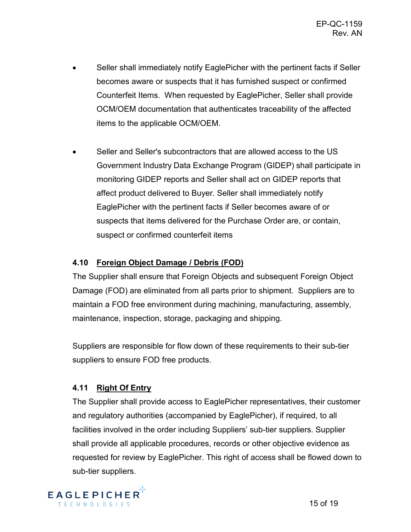- Seller shall immediately notify EaglePicher with the pertinent facts if Seller becomes aware or suspects that it has furnished suspect or confirmed Counterfeit Items. When requested by EaglePicher, Seller shall provide OCM/OEM documentation that authenticates traceability of the affected items to the applicable OCM/OEM.
- Seller and Seller's subcontractors that are allowed access to the US Government Industry Data Exchange Program (GIDEP) shall participate in monitoring GIDEP reports and Seller shall act on GIDEP reports that affect product delivered to Buyer. Seller shall immediately notify EaglePicher with the pertinent facts if Seller becomes aware of or suspects that items delivered for the Purchase Order are, or contain, suspect or confirmed counterfeit items

#### <span id="page-14-0"></span>**4.10 Foreign Object Damage / Debris (FOD)**

The Supplier shall ensure that Foreign Objects and subsequent Foreign Object Damage (FOD) are eliminated from all parts prior to shipment. Suppliers are to maintain a FOD free environment during machining, manufacturing, assembly, maintenance, inspection, storage, packaging and shipping.

Suppliers are responsible for flow down of these requirements to their sub-tier suppliers to ensure FOD free products.

#### <span id="page-14-1"></span>**4.11 Right Of Entry**

The Supplier shall provide access to EaglePicher representatives, their customer and regulatory authorities (accompanied by EaglePicher), if required, to all facilities involved in the order including Suppliers' sub-tier suppliers. Supplier shall provide all applicable procedures, records or other objective evidence as requested for review by EaglePicher. This right of access shall be flowed down to sub-tier suppliers.

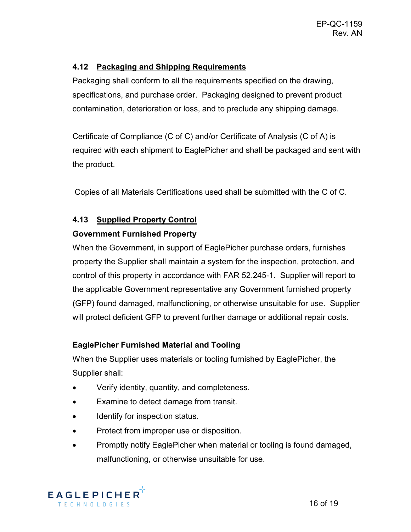#### <span id="page-15-0"></span>**4.12 Packaging and Shipping Requirements**

Packaging shall conform to all the requirements specified on the drawing, specifications, and purchase order. Packaging designed to prevent product contamination, deterioration or loss, and to preclude any shipping damage.

Certificate of Compliance (C of C) and/or Certificate of Analysis (C of A) is required with each shipment to EaglePicher and shall be packaged and sent with the product.

Copies of all Materials Certifications used shall be submitted with the C of C.

#### <span id="page-15-1"></span>**4.13 Supplied Property Control**

#### **Government Furnished Property**

When the Government, in support of EaglePicher purchase orders, furnishes property the Supplier shall maintain a system for the inspection, protection, and control of this property in accordance with FAR 52.245-1. Supplier will report to the applicable Government representative any Government furnished property (GFP) found damaged, malfunctioning, or otherwise unsuitable for use. Supplier will protect deficient GFP to prevent further damage or additional repair costs.

#### **EaglePicher Furnished Material and Tooling**

When the Supplier uses materials or tooling furnished by EaglePicher, the Supplier shall:

- Verify identity, quantity, and completeness.
- Examine to detect damage from transit.
- Identify for inspection status.
- Protect from improper use or disposition.
- Promptly notify EaglePicher when material or tooling is found damaged, malfunctioning, or otherwise unsuitable for use.

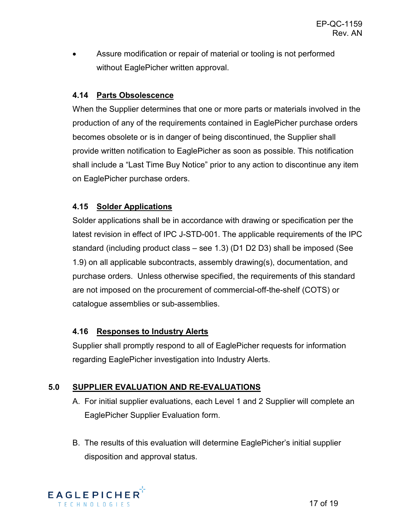Assure modification or repair of material or tooling is not performed without EaglePicher written approval.

#### <span id="page-16-0"></span>**4.14 Parts Obsolescence**

When the Supplier determines that one or more parts or materials involved in the production of any of the requirements contained in EaglePicher purchase orders becomes obsolete or is in danger of being discontinued, the Supplier shall provide written notification to EaglePicher as soon as possible. This notification shall include a "Last Time Buy Notice" prior to any action to discontinue any item on EaglePicher purchase orders.

#### <span id="page-16-1"></span>**4.15 Solder Applications**

Solder applications shall be in accordance with drawing or specification per the latest revision in effect of IPC J-STD-001. The applicable requirements of the IPC standard (including product class – see 1.3) (D1 D2 D3) shall be imposed (See 1.9) on all applicable subcontracts, assembly drawing(s), documentation, and purchase orders. Unless otherwise specified, the requirements of this standard are not imposed on the procurement of commercial-off-the-shelf (COTS) or catalogue assemblies or sub-assemblies.

#### <span id="page-16-2"></span>**4.16 Responses to Industry Alerts**

Supplier shall promptly respond to all of EaglePicher requests for information regarding EaglePicher investigation into Industry Alerts.

#### <span id="page-16-3"></span>**5.0 SUPPLIER EVALUATION AND RE-EVALUATIONS**

- A. For initial supplier evaluations, each Level 1 and 2 Supplier will complete an EaglePicher Supplier Evaluation form.
- B. The results of this evaluation will determine EaglePicher's initial supplier disposition and approval status.

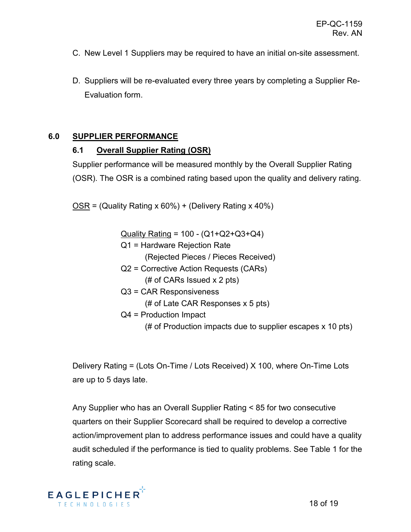- C. New Level 1 Suppliers may be required to have an initial on-site assessment.
- D. Suppliers will be re-evaluated every three years by completing a Supplier Re-Evaluation form.

#### <span id="page-17-1"></span><span id="page-17-0"></span>**6.0 SUPPLIER PERFORMANCE**

#### **6.1 Overall Supplier Rating (OSR)**

Supplier performance will be measured monthly by the Overall Supplier Rating (OSR). The OSR is a combined rating based upon the quality and delivery rating.

 $OSR = (Quality Rating x 60%) + (Delivery Rating x 40%)$ 

Quality Rating = 100 - (Q1+Q2+Q3+Q4)

Q1 = Hardware Rejection Rate

(Rejected Pieces / Pieces Received)

- Q2 = Corrective Action Requests (CARs) (# of CARs Issued x 2 pts)
- Q3 = CAR Responsiveness

(# of Late CAR Responses x 5 pts)

Q4 = Production Impact

(# of Production impacts due to supplier escapes x 10 pts)

Delivery Rating = (Lots On-Time / Lots Received) X 100, where On-Time Lots are up to 5 days late.

Any Supplier who has an Overall Supplier Rating < 85 for two consecutive quarters on their Supplier Scorecard shall be required to develop a corrective action/improvement plan to address performance issues and could have a quality audit scheduled if the performance is tied to quality problems. See Table 1 for the rating scale.